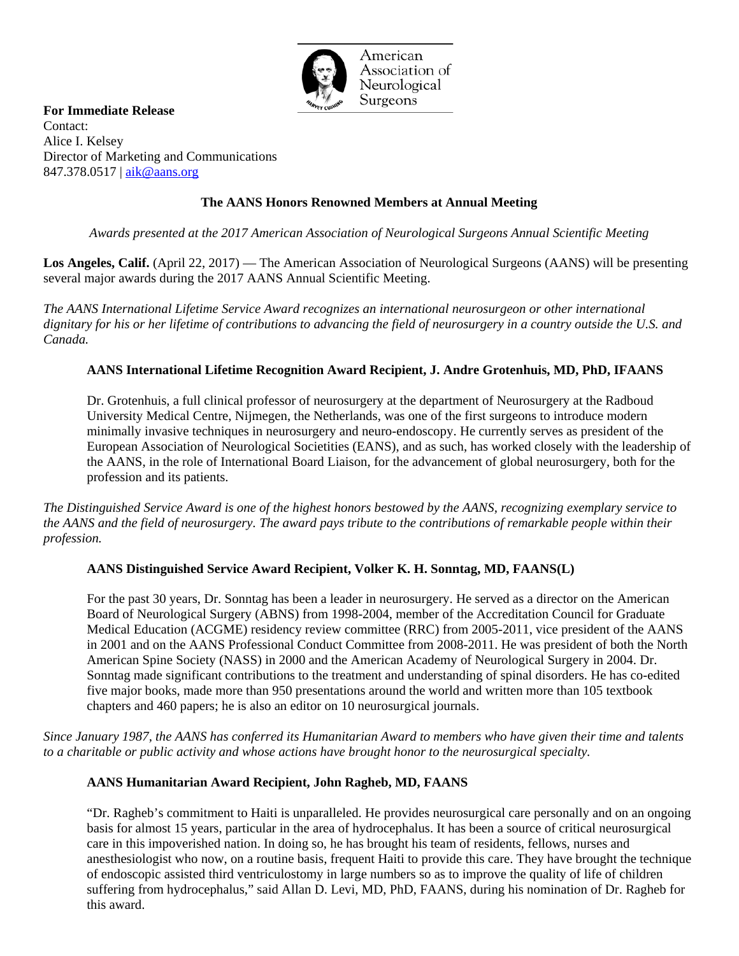

American Association of Neurological Surgeons

**For Immediate Release** Contact: Alice I. Kelsey Director of Marketing and Communications 847.378.0517 | [aik@aans.org](mailto:aik@aans.org)

# **The AANS Honors Renowned Members at Annual Meeting**

*Awards presented at the 2017 American Association of Neurological Surgeons Annual Scientific Meeting*

**Los Angeles, Calif.** (April 22, 2017) — The American Association of Neurological Surgeons (AANS) will be presenting several major awards during the 2017 AANS Annual Scientific Meeting.

*The AANS International Lifetime Service Award recognizes an international neurosurgeon or other international dignitary for his or her lifetime of contributions to advancing the field of neurosurgery in a country outside the U.S. and Canada.*

### **AANS International Lifetime Recognition Award Recipient, J. Andre Grotenhuis, MD, PhD, IFAANS**

Dr. Grotenhuis, a full clinical professor of neurosurgery at the department of Neurosurgery at the Radboud University Medical Centre, Nijmegen, the Netherlands, was one of the first surgeons to introduce modern minimally invasive techniques in neurosurgery and neuro-endoscopy. He currently serves as president of the European Association of Neurological Societities (EANS), and as such, has worked closely with the leadership of the AANS, in the role of International Board Liaison, for the advancement of global neurosurgery, both for the profession and its patients.

*The Distinguished Service Award is one of the highest honors bestowed by the AANS, recognizing exemplary service to the AANS and the field of neurosurgery. The award pays tribute to the contributions of remarkable people within their profession.*

#### **AANS Distinguished Service Award Recipient, Volker K. H. Sonntag, MD, FAANS(L)**

For the past 30 years, Dr. Sonntag has been a leader in neurosurgery. He served as a director on the American Board of Neurological Surgery (ABNS) from 1998-2004, member of the Accreditation Council for Graduate Medical Education (ACGME) residency review committee (RRC) from 2005-2011, vice president of the AANS in 2001 and on the AANS Professional Conduct Committee from 2008-2011. He was president of both the North American Spine Society (NASS) in 2000 and the American Academy of Neurological Surgery in 2004. Dr. Sonntag made significant contributions to the treatment and understanding of spinal disorders. He has co-edited five major books, made more than 950 presentations around the world and written more than 105 textbook chapters and 460 papers; he is also an editor on 10 neurosurgical journals.

*Since January 1987, the AANS has conferred its Humanitarian Award to members who have given their time and talents to a charitable or public activity and whose actions have brought honor to the neurosurgical specialty.*

#### **AANS Humanitarian Award Recipient, John Ragheb, MD, FAANS**

"Dr. Ragheb's commitment to Haiti is unparalleled. He provides neurosurgical care personally and on an ongoing basis for almost 15 years, particular in the area of hydrocephalus. It has been a source of critical neurosurgical care in this impoverished nation. In doing so, he has brought his team of residents, fellows, nurses and anesthesiologist who now, on a routine basis, frequent Haiti to provide this care. They have brought the technique of endoscopic assisted third ventriculostomy in large numbers so as to improve the quality of life of children suffering from hydrocephalus," said Allan D. Levi, MD, PhD, FAANS, during his nomination of Dr. Ragheb for this award.